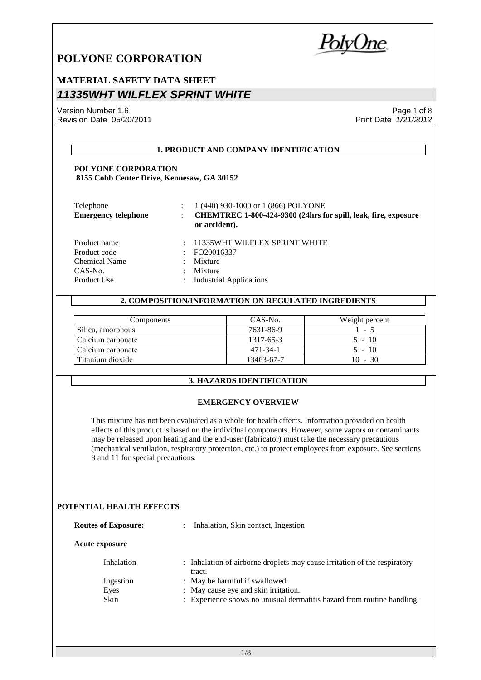*PolyOne* 

## **MATERIAL SAFETY DATA SHEET** *11335WHT WILFLEX SPRINT WHITE*

Version Number 1.6 Revision Date 05/20/2011

Page 1 of 8 Print Date *1/21/2012*

### **1. PRODUCT AND COMPANY IDENTIFICATION**

### **POLYONE CORPORATION 8155 Cobb Center Drive, Kennesaw, GA 30152**

| Telephone<br><b>Emergency telephone</b> | 1 (440) 930-1000 or 1 (866) POLYONE<br>CHEMTREC 1-800-424-9300 (24hrs for spill, leak, fire, exposure<br>or accident). |
|-----------------------------------------|------------------------------------------------------------------------------------------------------------------------|
| Product name                            | 11335WHT WILFLEX SPRINT WHITE                                                                                          |
| Product code                            | FO20016337                                                                                                             |
| Chemical Name                           | Mixture                                                                                                                |
| CAS-No.                                 | Mixture                                                                                                                |
| Product Use                             | <b>Industrial Applications</b>                                                                                         |

### **2. COMPOSITION/INFORMATION ON REGULATED INGREDIENTS**

| Components        | CAS-No.    | Weight percent |
|-------------------|------------|----------------|
| Silica, amorphous | 7631-86-9  | $-1 - 5$       |
| Calcium carbonate | 1317-65-3  | $5 - 10$       |
| Calcium carbonate | 471-34-1   | $5 - 10$       |
| Titanium dioxide  | 13463-67-7 | $10 - 30$      |

### **3. HAZARDS IDENTIFICATION**

### **EMERGENCY OVERVIEW**

This mixture has not been evaluated as a whole for health effects. Information provided on health effects of this product is based on the individual components. However, some vapors or contaminants may be released upon heating and the end-user (fabricator) must take the necessary precautions (mechanical ventilation, respiratory protection, etc.) to protect employees from exposure. See sections 8 and 11 for special precautions.

### **POTENTIAL HEALTH EFFECTS**

| <b>Routes of Exposure:</b> | Inhalation, Skin contact, Ingestion<br>$\mathbb{R}^n$                               |
|----------------------------|-------------------------------------------------------------------------------------|
| <b>Acute exposure</b>      |                                                                                     |
| Inhalation                 | : Inhalation of airborne droplets may cause irritation of the respiratory<br>tract. |
| Ingestion                  | : May be harmful if swallowed.                                                      |
| Eyes                       | : May cause eye and skin irritation.                                                |
| Skin                       | : Experience shows no unusual dermatitis hazard from routine handling.              |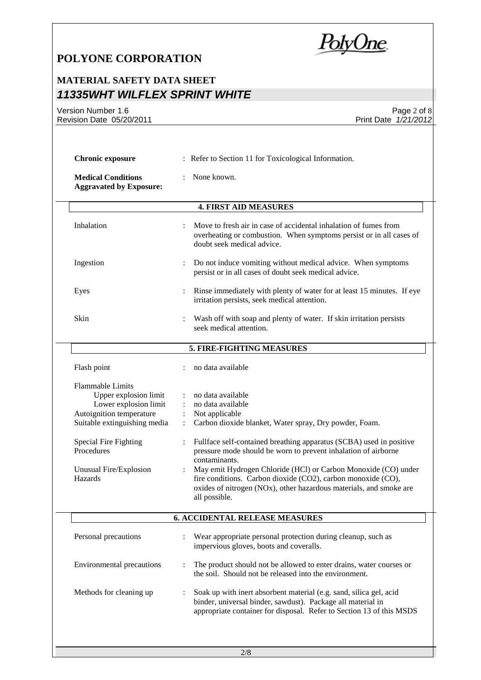PolyOne

## **MATERIAL SAFETY DATA SHEET** *11335WHT WILFLEX SPRINT WHITE*

Version Number 1.6 Revision Date 05/20/2011

Page 2 of 8 Print Date *1/21/2012*

| : Refer to Section 11 for Toxicological Information.<br><b>Chronic exposure</b>                                                                                                     |                                                                                                                                                                                                                                                                  |  |  |
|-------------------------------------------------------------------------------------------------------------------------------------------------------------------------------------|------------------------------------------------------------------------------------------------------------------------------------------------------------------------------------------------------------------------------------------------------------------|--|--|
| <b>Medical Conditions</b><br>None known.<br><b>Aggravated by Exposure:</b>                                                                                                          |                                                                                                                                                                                                                                                                  |  |  |
|                                                                                                                                                                                     | <b>4. FIRST AID MEASURES</b>                                                                                                                                                                                                                                     |  |  |
| Inhalation                                                                                                                                                                          | Move to fresh air in case of accidental inhalation of fumes from<br>overheating or combustion. When symptoms persist or in all cases of<br>doubt seek medical advice.                                                                                            |  |  |
| Ingestion                                                                                                                                                                           | Do not induce vomiting without medical advice. When symptoms<br>persist or in all cases of doubt seek medical advice.                                                                                                                                            |  |  |
| Eyes                                                                                                                                                                                | Rinse immediately with plenty of water for at least 15 minutes. If eye<br>irritation persists, seek medical attention.                                                                                                                                           |  |  |
| Skin                                                                                                                                                                                | Wash off with soap and plenty of water. If skin irritation persists<br>seek medical attention.                                                                                                                                                                   |  |  |
|                                                                                                                                                                                     | 5. FIRE-FIGHTING MEASURES                                                                                                                                                                                                                                        |  |  |
| Flash point                                                                                                                                                                         | no data available                                                                                                                                                                                                                                                |  |  |
| <b>Flammable Limits</b><br>Upper explosion limit<br>Lower explosion limit<br>Autoignition temperature<br>Suitable extinguishing media<br><b>Special Fire Fighting</b><br>Procedures | no data available<br>:<br>no data available<br>Not applicable<br>Carbon dioxide blanket, Water spray, Dry powder, Foam.<br>Fullface self-contained breathing apparatus (SCBA) used in positive<br>pressure mode should be worn to prevent inhalation of airborne |  |  |
| Unusual Fire/Explosion<br>Hazards                                                                                                                                                   | contaminants.<br>May emit Hydrogen Chloride (HCl) or Carbon Monoxide (CO) under<br>fire conditions. Carbon dioxide (CO2), carbon monoxide (CO),<br>oxides of nitrogen (NOx), other hazardous materials, and smoke are<br>all possible.                           |  |  |
|                                                                                                                                                                                     | <b>6. ACCIDENTAL RELEASE MEASURES</b>                                                                                                                                                                                                                            |  |  |
| Personal precautions                                                                                                                                                                | Wear appropriate personal protection during cleanup, such as<br>impervious gloves, boots and coveralls.                                                                                                                                                          |  |  |
| <b>Environmental precautions</b>                                                                                                                                                    | The product should not be allowed to enter drains, water courses or<br>the soil. Should not be released into the environment.                                                                                                                                    |  |  |
| Methods for cleaning up                                                                                                                                                             | Soak up with inert absorbent material (e.g. sand, silica gel, acid<br>binder, universal binder, sawdust). Package all material in<br>appropriate container for disposal. Refer to Section 13 of this MSDS                                                        |  |  |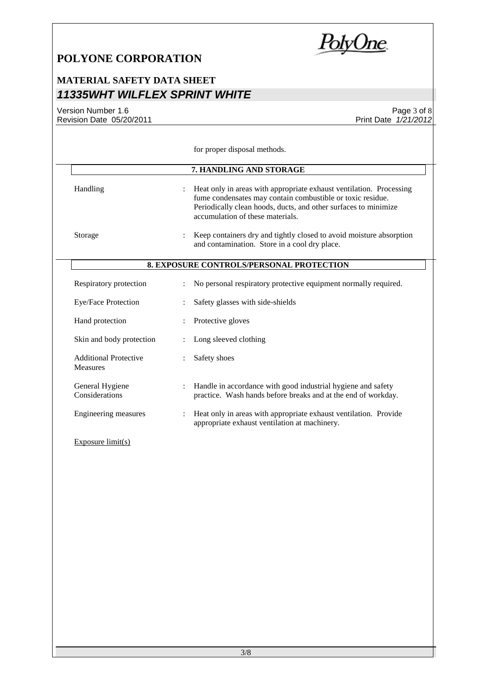

Page 3 of 8

Print Date *1/21/2012*

# **MATERIAL SAFETY DATA SHEET** *11335WHT WILFLEX SPRINT WHITE*

Version Number 1.6 Revision Date 05/20/2011

|                                                 |                      | for proper disposal methods.                                                                                                                                                                                                             |
|-------------------------------------------------|----------------------|------------------------------------------------------------------------------------------------------------------------------------------------------------------------------------------------------------------------------------------|
|                                                 |                      | 7. HANDLING AND STORAGE                                                                                                                                                                                                                  |
| Handling                                        |                      | Heat only in areas with appropriate exhaust ventilation. Processing<br>fume condensates may contain combustible or toxic residue.<br>Periodically clean hoods, ducts, and other surfaces to minimize<br>accumulation of these materials. |
| Storage                                         |                      | Keep containers dry and tightly closed to avoid moisture absorption<br>and contamination. Store in a cool dry place.                                                                                                                     |
|                                                 |                      | <b>8. EXPOSURE CONTROLS/PERSONAL PROTECTION</b>                                                                                                                                                                                          |
| Respiratory protection                          |                      | No personal respiratory protective equipment normally required.                                                                                                                                                                          |
| Eye/Face Protection                             |                      | Safety glasses with side-shields                                                                                                                                                                                                         |
| Hand protection                                 |                      | Protective gloves                                                                                                                                                                                                                        |
| Skin and body protection                        | $\ddot{\phantom{a}}$ | Long sleeved clothing                                                                                                                                                                                                                    |
| <b>Additional Protective</b><br><b>Measures</b> |                      | Safety shoes                                                                                                                                                                                                                             |
| General Hygiene<br>Considerations               | $\ddot{\cdot}$       | Handle in accordance with good industrial hygiene and safety<br>practice. Wash hands before breaks and at the end of workday.                                                                                                            |
| Engineering measures                            |                      | Heat only in areas with appropriate exhaust ventilation. Provide<br>appropriate exhaust ventilation at machinery.                                                                                                                        |
| Exposure $limit(s)$                             |                      |                                                                                                                                                                                                                                          |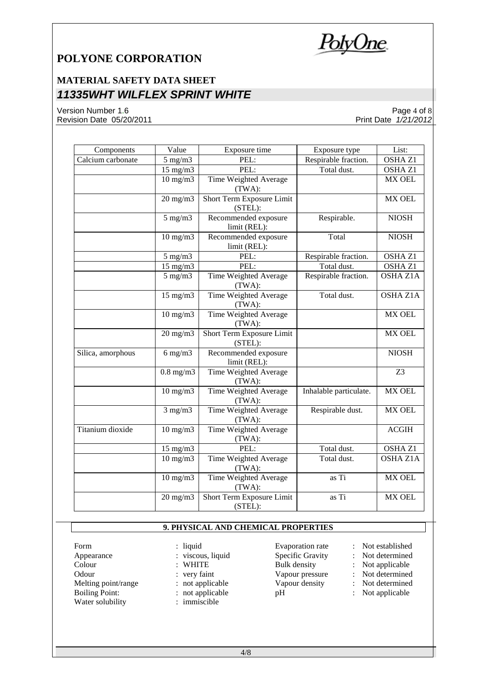<u>PolyOne</u>

## **MATERIAL SAFETY DATA SHEET** *11335WHT WILFLEX SPRINT WHITE*

Version Number 1.6 Revision Date 05/20/2011

Page 4 of 8 Print Date *1/21/2012*

| Components        | Value             | Exposure time                        | Exposure type          | List:              |
|-------------------|-------------------|--------------------------------------|------------------------|--------------------|
| Calcium carbonate | $5$ mg/m $3$      | PEL:                                 | Respirable fraction.   | OSHA Z1            |
|                   | 15 mg/m3          | PEL:                                 | Total dust.            | OSHA Z1            |
|                   | $10 \text{ mg/m}$ | Time Weighted Average<br>(TWA):      |                        | <b>MX OEL</b>      |
|                   | $20$ mg/m $3$     | Short Term Exposure Limit<br>(STEL): |                        | <b>MX OEL</b>      |
|                   | $5$ mg/m $3$      | Recommended exposure<br>limit (REL): | Respirable.            | <b>NIOSH</b>       |
|                   | $10 \text{ mg/m}$ | Recommended exposure<br>limit (REL): | Total                  | <b>NIOSH</b>       |
|                   | $5$ mg/m $3$      | PEL:                                 | Respirable fraction.   | OSHA Z1            |
|                   | $15$ mg/m $3$     | PEL:                                 | Total dust.            | OSHA <sub>Z1</sub> |
|                   | $5 \text{ mg/m}$  | Time Weighted Average<br>(TWA):      | Respirable fraction.   | <b>OSHA Z1A</b>    |
|                   | $15$ mg/m $3$     | Time Weighted Average<br>(TWA):      | Total dust.            | <b>OSHA Z1A</b>    |
|                   | $10$ mg/m $3$     | Time Weighted Average<br>(TWA):      |                        | MX OEL             |
|                   | $20$ mg/m $3$     | Short Term Exposure Limit<br>(STEL): |                        | MX OEL             |
| Silica, amorphous | $6$ mg/m $3$      | Recommended exposure<br>limit (REL): |                        | <b>NIOSH</b>       |
|                   | $0.8$ mg/m $3$    | Time Weighted Average<br>(TWA):      |                        | Z <sub>3</sub>     |
|                   | $10$ mg/m $3$     | Time Weighted Average<br>(TWA):      | Inhalable particulate. | MX OEL             |
|                   | $3$ mg/m $3$      | Time Weighted Average<br>(TWA):      | Respirable dust.       | MX OEL             |
| Titanium dioxide  | $10$ mg/m $3$     | Time Weighted Average<br>(TWA):      |                        | <b>ACGIH</b>       |
|                   | $15$ mg/m $3$     | PEL:                                 | Total dust.            | OSHA Z1            |
|                   | $10$ mg/m $3$     | Time Weighted Average<br>(TWA):      | Total dust.            | <b>OSHA Z1A</b>    |
|                   | $10 \text{ mg/m}$ | Time Weighted Average<br>(TWA):      | as Ti                  | MX OEL             |
|                   | $20 \text{ mg/m}$ | Short Term Exposure Limit<br>(STEL): | $\overline{a}$ s Ti    | MX OEL             |

### **9. PHYSICAL AND CHEMICAL PROPERTIES**

- Form : liquid Evaporation rate : Not established<br>
Appearance : viscous, liquid Specific Gravity : Not determined Appearance : viscous, liquid Specific Gravity : Not determined Colour : WHITE Bulk density : Not applicable Odour : very faint Vapour pressure : Not determined<br>
Melting point/range : not applicable Vapour density : Not determined Melting point/range : not applicable<br>Boiling Point: : not applicable Water solubility
	- : not applicable pH : Not applicable<br>: immiscible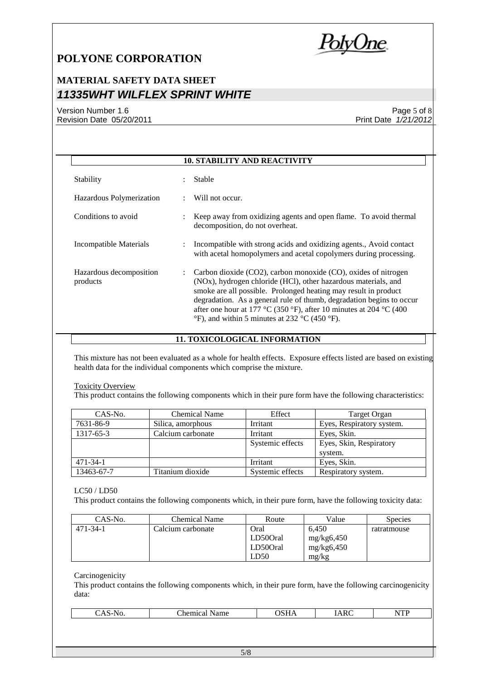<u>PolyOne</u>

# **MATERIAL SAFETY DATA SHEET** *11335WHT WILFLEX SPRINT WHITE*

### Version Number 1.6 Revision Date 05/20/2011

### Page 5 of 8 Print Date *1/21/2012*

|                                     | <b>10. STABILITY AND REACTIVITY</b>                                                                                                                                                                                                                                                                                                                                                                                                                                      |
|-------------------------------------|--------------------------------------------------------------------------------------------------------------------------------------------------------------------------------------------------------------------------------------------------------------------------------------------------------------------------------------------------------------------------------------------------------------------------------------------------------------------------|
| Stability                           | <b>Stable</b>                                                                                                                                                                                                                                                                                                                                                                                                                                                            |
| Hazardous Polymerization            | Will not occur.                                                                                                                                                                                                                                                                                                                                                                                                                                                          |
| Conditions to avoid                 | Keep away from oxidizing agents and open flame. To avoid thermal<br>decomposition, do not overheat.                                                                                                                                                                                                                                                                                                                                                                      |
| Incompatible Materials              | Incompatible with strong acids and oxidizing agents., Avoid contact<br>with acetal homopolymers and acetal copolymers during processing.                                                                                                                                                                                                                                                                                                                                 |
| Hazardous decomposition<br>products | Carbon dioxide $(CO2)$ , carbon monoxide $(CO)$ , oxides of nitrogen<br>$\ddot{\phantom{0}}$<br>(NO <sub>x</sub> ), hydrogen chloride (HCl), other hazardous materials, and<br>smoke are all possible. Prolonged heating may result in product<br>degradation. As a general rule of thumb, degradation begins to occur<br>after one hour at 177 °C (350 °F), after 10 minutes at 204 °C (400<br>$\degree$ F), and within 5 minutes at 232 $\degree$ C (450 $\degree$ F). |

### **11. TOXICOLOGICAL INFORMATION**

This mixture has not been evaluated as a whole for health effects. Exposure effects listed are based on existing health data for the individual components which comprise the mixture.

#### Toxicity Overview

This product contains the following components which in their pure form have the following characteristics:

| CAS-No.        | Chemical Name     | Effect           | Target Organ              |
|----------------|-------------------|------------------|---------------------------|
| 7631-86-9      | Silica, amorphous | Irritant         | Eyes, Respiratory system. |
| 1317-65-3      | Calcium carbonate | Irritant         | Eves, Skin.               |
|                |                   | Systemic effects | Eyes, Skin, Respiratory   |
|                |                   |                  | system.                   |
| $471 - 34 - 1$ |                   | Irritant         | Eyes, Skin.               |
| 13463-67-7     | Titanium dioxide  | Systemic effects | Respiratory system.       |

#### LC50 / LD50

This product contains the following components which, in their pure form, have the following toxicity data:

| CAS-No.  | <b>Chemical Name</b> | Route    | Value      | <b>Species</b> |
|----------|----------------------|----------|------------|----------------|
| 471-34-1 | Calcium carbonate    | Oral     | 6.450      | ratratmouse    |
|          |                      | LD500ral | mg/kg6,450 |                |
|          |                      | LD500ral | mg/kg6,450 |                |
|          |                      | LD50     | mg/kg      |                |

Carcinogenicity

This product contains the following components which, in their pure form, have the following carcinogenicity data:

| _<br>,,,<br>ັ້<br>$\sim$ $\sim$ | ---<br><br>.<br>.ne<br>Name<br>шк<br>. | .501<br>בשנט<br>------ | $\overline{\phantom{0}}$<br>к.<br>. .<br><br>----- | T<br>$\mathbf{r}$<br>1111 |
|---------------------------------|----------------------------------------|------------------------|----------------------------------------------------|---------------------------|
|                                 |                                        |                        |                                                    |                           |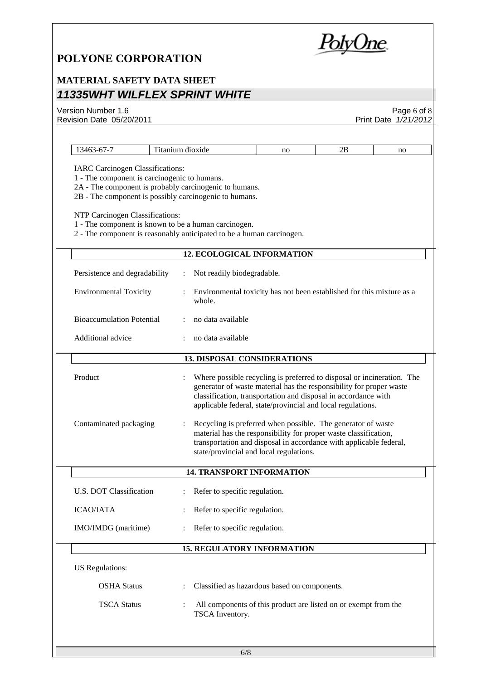PolyOne

# **MATERIAL SAFETY DATA SHEET** *11335WHT WILFLEX SPRINT WHITE*

| Version Number 1.6                                                                                                                                                                                                                                                                                                                                                                                  |  |                                                                                                                                                                                                                                                                                |    |    | Page $6$ of $8$      |
|-----------------------------------------------------------------------------------------------------------------------------------------------------------------------------------------------------------------------------------------------------------------------------------------------------------------------------------------------------------------------------------------------------|--|--------------------------------------------------------------------------------------------------------------------------------------------------------------------------------------------------------------------------------------------------------------------------------|----|----|----------------------|
| Revision Date 05/20/2011                                                                                                                                                                                                                                                                                                                                                                            |  |                                                                                                                                                                                                                                                                                |    |    | Print Date 1/21/2012 |
| 13463-67-7                                                                                                                                                                                                                                                                                                                                                                                          |  |                                                                                                                                                                                                                                                                                | no | 2В | no                   |
| Titanium dioxide<br><b>IARC Carcinogen Classifications:</b><br>1 - The component is carcinogenic to humans.<br>2A - The component is probably carcinogenic to humans.<br>2B - The component is possibly carcinogenic to humans.<br>NTP Carcinogen Classifications:<br>1 - The component is known to be a human carcinogen.<br>2 - The component is reasonably anticipated to be a human carcinogen. |  |                                                                                                                                                                                                                                                                                |    |    |                      |
|                                                                                                                                                                                                                                                                                                                                                                                                     |  | <b>12. ECOLOGICAL INFORMATION</b>                                                                                                                                                                                                                                              |    |    |                      |
| Persistence and degradability                                                                                                                                                                                                                                                                                                                                                                       |  | Not readily biodegradable.                                                                                                                                                                                                                                                     |    |    |                      |
| <b>Environmental Toxicity</b>                                                                                                                                                                                                                                                                                                                                                                       |  | Environmental toxicity has not been established for this mixture as a<br>whole.                                                                                                                                                                                                |    |    |                      |
| <b>Bioaccumulation Potential</b>                                                                                                                                                                                                                                                                                                                                                                    |  | no data available                                                                                                                                                                                                                                                              |    |    |                      |
| Additional advice                                                                                                                                                                                                                                                                                                                                                                                   |  | no data available                                                                                                                                                                                                                                                              |    |    |                      |
| <b>13. DISPOSAL CONSIDERATIONS</b>                                                                                                                                                                                                                                                                                                                                                                  |  |                                                                                                                                                                                                                                                                                |    |    |                      |
| Product                                                                                                                                                                                                                                                                                                                                                                                             |  | Where possible recycling is preferred to disposal or incineration. The<br>generator of waste material has the responsibility for proper waste<br>classification, transportation and disposal in accordance with<br>applicable federal, state/provincial and local regulations. |    |    |                      |
| Contaminated packaging                                                                                                                                                                                                                                                                                                                                                                              |  | Recycling is preferred when possible. The generator of waste<br>material has the responsibility for proper waste classification,<br>transportation and disposal in accordance with applicable federal,<br>state/provincial and local regulations.                              |    |    |                      |
|                                                                                                                                                                                                                                                                                                                                                                                                     |  | <b>14. TRANSPORT INFORMATION</b>                                                                                                                                                                                                                                               |    |    |                      |
| U.S. DOT Classification                                                                                                                                                                                                                                                                                                                                                                             |  | Refer to specific regulation.                                                                                                                                                                                                                                                  |    |    |                      |
| <b>ICAO/IATA</b>                                                                                                                                                                                                                                                                                                                                                                                    |  | Refer to specific regulation.                                                                                                                                                                                                                                                  |    |    |                      |
| IMO/IMDG (maritime)                                                                                                                                                                                                                                                                                                                                                                                 |  | Refer to specific regulation.                                                                                                                                                                                                                                                  |    |    |                      |
|                                                                                                                                                                                                                                                                                                                                                                                                     |  | <b>15. REGULATORY INFORMATION</b>                                                                                                                                                                                                                                              |    |    |                      |
| <b>US</b> Regulations:                                                                                                                                                                                                                                                                                                                                                                              |  |                                                                                                                                                                                                                                                                                |    |    |                      |
| <b>OSHA Status</b>                                                                                                                                                                                                                                                                                                                                                                                  |  | Classified as hazardous based on components.                                                                                                                                                                                                                                   |    |    |                      |
| <b>TSCA Status</b>                                                                                                                                                                                                                                                                                                                                                                                  |  | All components of this product are listed on or exempt from the<br>TSCA Inventory.                                                                                                                                                                                             |    |    |                      |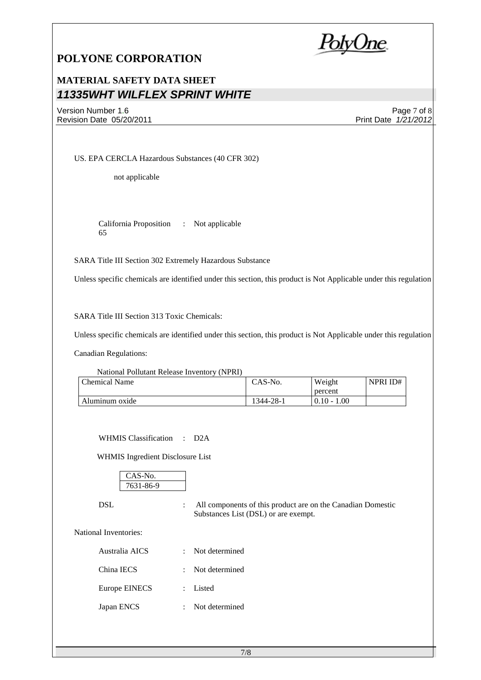PolyOne

## **MATERIAL SAFETY DATA SHEET** *11335WHT WILFLEX SPRINT WHITE*

Version Number 1.6 Revision Date 05/20/2011

Page 7 of 8 Print Date *1/21/2012*

NPRI ID#

US. EPA CERCLA Hazardous Substances (40 CFR 302)

not applicable

California Proposition 65 : Not applicable

SARA Title III Section 302 Extremely Hazardous Substance

Unless specific chemicals are identified under this section, this product is Not Applicable under this regulation

SARA Title III Section 313 Toxic Chemicals:

Unless specific chemicals are identified under this section, this product is Not Applicable under this regulation

Canadian Regulations:

| National Pollutant Release Inventory (NPRI) |         |         |
|---------------------------------------------|---------|---------|
| Chemical Name                               | CAS-No. | Weight  |
|                                             |         | narcant |

|                            |                                             | percent      |
|----------------------------|---------------------------------------------|--------------|
| luminum oxide<br>$\lambda$ | $28 - 7$<br>۰44<br>$\overline{\phantom{a}}$ | 00.1<br>0.16 |

WHMIS Classification : D2A

WHMIS Ingredient Disclosure List

| $\overline{0}$ . |  |
|------------------|--|
| 631-9<br>ے د     |  |

DSL : All components of this product are on the Canadian Domestic Substances List (DSL) or are exempt.

National Inventories:

| Australia AICS | : Not determined |
|----------------|------------------|
| China IECS     | : Not determined |
| Europe EINECS  | : Listed         |
| Japan ENCS     | : Not determined |